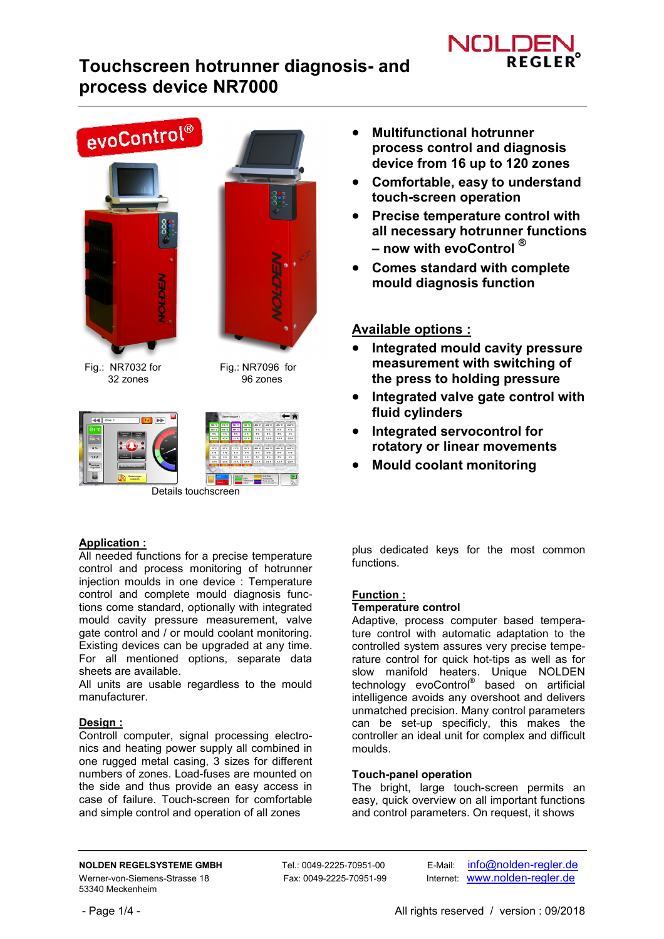

# **Touchscreen hotrunner diagnosis- and process device NR7000**



## **Application :**

All needed functions for a precise temperature control and process monitoring of hotrunner injection moulds in one device : Temperature control and complete mould diagnosis functions come standard, optionally with integrated mould cavity pressure measurement, valve gate control and / or mould coolant monitoring. Existing devices can be upgraded at any time. For all mentioned options, separate data sheets are available.

All units are usable regardless to the mould manufacturer.

## **Design :**

Controll computer, signal processing electronics and heating power supply all combined in one rugged metal casing, 3 sizes for different numbers of zones. Load-fuses are mounted on the side and thus provide an easy access in case of failure. Touch-screen for comfortable and simple control and operation of all zones

- **Multifunctional hotrunner process control and diagnosis device from 16 up to 120 zones**
- **Comfortable, easy to understand touch-screen operation**
- **Precise temperature control with all necessary hotrunner functions – now with evoControl ®**
- **Comes standard with complete mould diagnosis function**

# **Available options :**

- **Integrated mould cavity pressure measurement with switching of the press to holding pressure**
- **Integrated valve gate control with fluid cylinders**
- **Integrated servocontrol for rotatory or linear movements**
- **Mould coolant monitoring**

plus dedicated keys for the most common functions.

## **Function :**

## **Temperature control**

Adaptive, process computer based temperature control with automatic adaptation to the controlled system assures very precise temperature control for quick hot-tips as well as for slow manifold heaters. Unique NOLDEN technology evoControl® based on artificial intelligence avoids any overshoot and delivers unmatched precision. Many control parameters can be set-up specificly, this makes the controller an ideal unit for complex and difficult moulds.

## **Touch-panel operation**

The bright, large touch-screen permits an easy, quick overview on all important functions and control parameters. On request, it shows

**NOLDEN REGELSYSTEME GMBH** Tel.: 0049-2225-70951-00 E-Mail: info@nolden-regler.de Werner-von-Siemens-Strasse 18 Fax: 0049-2225-70951-99 Internet: www.nolden-regler.de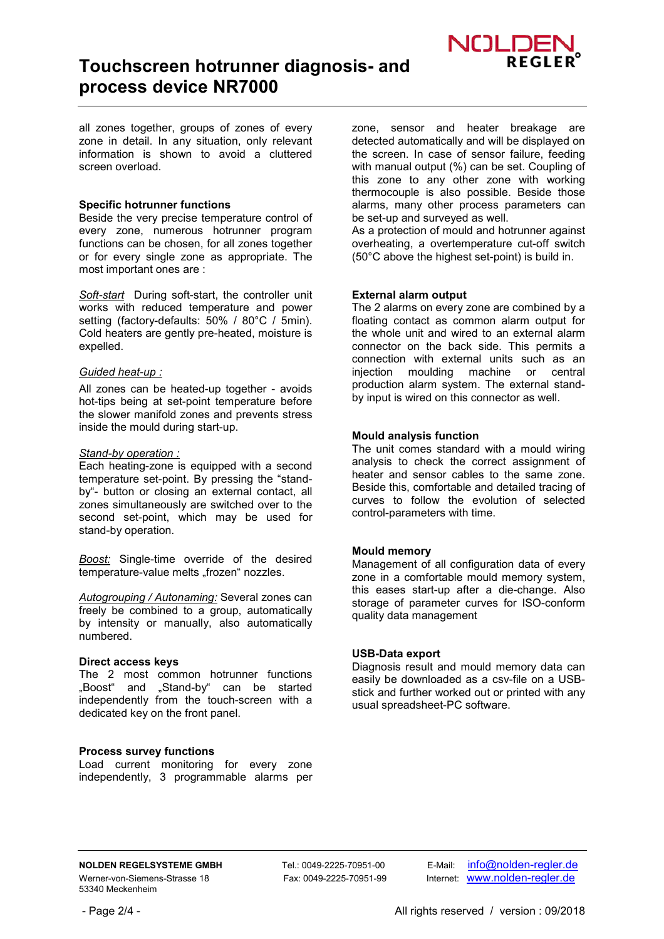

all zones together, groups of zones of every zone in detail. In any situation, only relevant information is shown to avoid a cluttered screen overload.

#### **Specific hotrunner functions**

Beside the very precise temperature control of every zone, numerous hotrunner program functions can be chosen, for all zones together or for every single zone as appropriate. The most important ones are :

*Soft-start* During soft-start, the controller unit works with reduced temperature and power setting (factory-defaults: 50% / 80°C / 5min). Cold heaters are gently pre-heated, moisture is expelled.

#### *Guided heat-up :*

All zones can be heated-up together - avoids hot-tips being at set-point temperature before the slower manifold zones and prevents stress inside the mould during start-up.

#### *Stand-by operation :*

Each heating-zone is equipped with a second temperature set-point. By pressing the "standby"- button or closing an external contact, all zones simultaneously are switched over to the second set-point, which may be used for stand-by operation.

*Boost:* Single-time override of the desired temperature-value melts "frozen" nozzles.

*Autogrouping / Autonaming:* Several zones can freely be combined to a group, automatically by intensity or manually, also automatically numbered.

#### **Direct access keys**

The 2 most common hotrunner functions "Boost" and "Stand-by" can be started independently from the touch-screen with a dedicated key on the front panel.

#### **Process survey functions**

Load current monitoring for every zone independently, 3 programmable alarms per zone, sensor and heater breakage are detected automatically and will be displayed on the screen. In case of sensor failure, feeding with manual output (%) can be set. Coupling of this zone to any other zone with working thermocouple is also possible. Beside those alarms, many other process parameters can be set-up and surveyed as well.

As a protection of mould and hotrunner against overheating, a overtemperature cut-off switch (50°C above the highest set-point) is build in.

#### **External alarm output**

The 2 alarms on every zone are combined by a floating contact as common alarm output for the whole unit and wired to an external alarm connector on the back side. This permits a connection with external units such as an injection moulding machine or central production alarm system. The external standby input is wired on this connector as well.

#### **Mould analysis function**

The unit comes standard with a mould wiring analysis to check the correct assignment of heater and sensor cables to the same zone. Beside this, comfortable and detailed tracing of curves to follow the evolution of selected control-parameters with time.

#### **Mould memory**

Management of all configuration data of every zone in a comfortable mould memory system, this eases start-up after a die-change. Also storage of parameter curves for ISO-conform quality data management

#### **USB-Data export**

Diagnosis result and mould memory data can easily be downloaded as a csv-file on a USBstick and further worked out or printed with any usual spreadsheet-PC software.

**NOLDEN REGELSYSTEME GMBH** Tel.: 0049-2225-70951-00 E-Mail: info@nolden-regler.de Werner-von-Siemens-Strasse 18 Fax: 0049-2225-70951-99 Internet: www.nolden-regler.de

- Page 2/4 - All rights reserved / version : 09/2018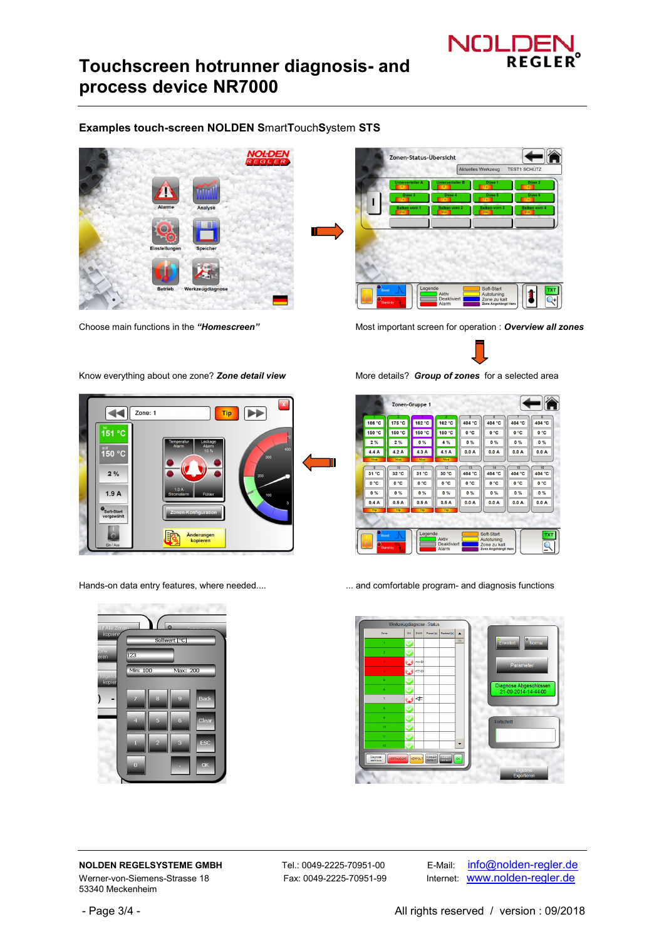

# **Touchscreen hotrunner diagnosis- and process device NR7000**

## **Examples touch-screen NOLDEN S**mart**T**ouch**S**ystem **STS**





Choose main functions in the *"Homescreen"* Most important screen for operation : *Overview all zones*

 $\blacktriangleleft$ Zone: 1 Tip E i๊̇51 °C <sup>ഃ⊚⊪</sup> 0°C  $2%$  $1.9A$ Änderungen<br>kopieren 



|                                  |             | Zonen-Gruppe 1           |                                      |                          |                                                                  | ÷            |                                        |
|----------------------------------|-------------|--------------------------|--------------------------------------|--------------------------|------------------------------------------------------------------|--------------|----------------------------------------|
| 166 °C                           | 175 °C      | 162 °C                   | 162 °C                               | $\overline{5}$<br>404 °C | 6<br>404 °C                                                      | 404 °C       | $\overline{\mathbf{8}}$<br>404 °C      |
| 150 °C                           | 150 °C      | 150 °C                   | 150 °C                               | 0°C                      | 0°C                                                              | 0°C          | 0°C                                    |
| 2%                               | 2%          | 0%                       | 4 %                                  | $0\%$                    | $0\%$                                                            | $0\%$        | 0%                                     |
| 4.4A                             | 4.2A        | 4.3A                     | 4.1A                                 | 0.0A                     | 0.0A                                                             | 0.0A         | 0.0A                                   |
| Man                              | Man         | Man                      | Man                                  |                          |                                                                  |              |                                        |
| $\overline{9}$<br>31 °C          | 10<br>32 °C | $\overline{11}$<br>31 °C | 12<br>30 °C                          | 13<br>404 °C             | 14<br>404 °C                                                     | 15<br>404 °C | 18<br>404 °C                           |
| 0°C                              | 0°C         | 0 °C                     | 0 °C                                 | 0°C                      | 0°C                                                              | 0°C          | 0°C                                    |
| 0%                               | 0%          | $0\%$                    | 0%                                   | 0%                       | $0\%$                                                            | $0\%$        | $0\%$                                  |
| 0.4A                             | 0.5A        | 0.5A                     | 0.5A                                 | 0.0A                     | 0.0A                                                             | 0.0A         | 0.0A                                   |
| Tip                              | Tip         | Tip                      | Tip                                  |                          |                                                                  |              |                                        |
|                                  |             |                          |                                      |                          |                                                                  |              |                                        |
| Boost<br>$\overline{\mathbf{C}}$ | Stand-by    | Legende                  | Aktiv<br><b>Deaktiviert</b><br>Alarm |                          | Soft-Start<br>Autotuning<br>Zone zu kalt<br>Zone Angehängt/ Hand |              | <b>TXT</b><br>$\overline{\mathcal{A}}$ |

Hands-on data entry features, where needed.... ... and comfortable program- and diagnosis functions



Werner-von-Siemens-Strasse 18 Fax: 0049-2225-70951-99 Internet: www.nolden-regler.de 53340 Meckenheim

**NOLDEN REGELSYSTEME GMBH** Tel.: 0049-2225-70951-00 E-Mail: info@nolden-regler.de

- Page 3/4 - **All rights reserved / version : 09/2018** 

Know everything about one zone? *Zone detail view*More details? *Group of zones* for a selected area